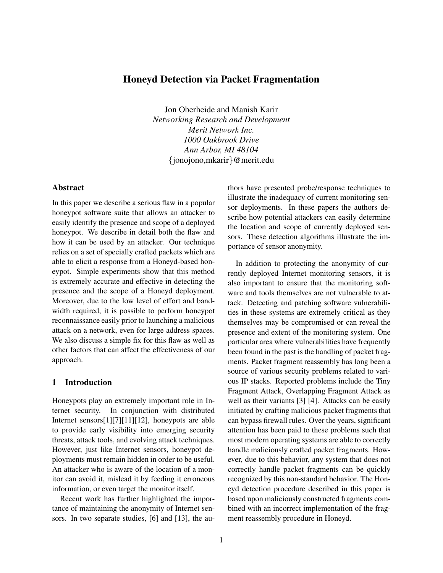# Honeyd Detection via Packet Fragmentation

Jon Oberheide and Manish Karir *Networking Research and Development Merit Network Inc. 1000 Oakbrook Drive Ann Arbor, MI 48104* {jonojono,mkarir}@merit.edu

## Abstract

In this paper we describe a serious flaw in a popular honeypot software suite that allows an attacker to easily identify the presence and scope of a deployed honeypot. We describe in detail both the flaw and how it can be used by an attacker. Our technique relies on a set of specially crafted packets which are able to elicit a response from a Honeyd-based honeypot. Simple experiments show that this method is extremely accurate and effective in detecting the presence and the scope of a Honeyd deployment. Moreover, due to the low level of effort and bandwidth required, it is possible to perform honeypot reconnaissance easily prior to launching a malicious attack on a network, even for large address spaces. We also discuss a simple fix for this flaw as well as other factors that can affect the effectiveness of our approach.

# 1 Introduction

Honeypots play an extremely important role in Internet security. In conjunction with distributed Internet sensors[1][7][11][12], honeypots are able to provide early visibility into emerging security threats, attack tools, and evolving attack techniques. However, just like Internet sensors, honeypot deployments must remain hidden in order to be useful. An attacker who is aware of the location of a monitor can avoid it, mislead it by feeding it erroneous information, or even target the monitor itself.

Recent work has further highlighted the importance of maintaining the anonymity of Internet sensors. In two separate studies, [6] and [13], the authors have presented probe/response techniques to illustrate the inadequacy of current monitoring sensor deployments. In these papers the authors describe how potential attackers can easily determine the location and scope of currently deployed sensors. These detection algorithms illustrate the importance of sensor anonymity.

In addition to protecting the anonymity of currently deployed Internet monitoring sensors, it is also important to ensure that the monitoring software and tools themselves are not vulnerable to attack. Detecting and patching software vulnerabilities in these systems are extremely critical as they themselves may be compromised or can reveal the presence and extent of the monitoring system. One particular area where vulnerabilities have frequently been found in the past is the handling of packet fragments. Packet fragment reassembly has long been a source of various security problems related to various IP stacks. Reported problems include the Tiny Fragment Attack, Overlapping Fragment Attack as well as their variants [3] [4]. Attacks can be easily initiated by crafting malicious packet fragments that can bypass firewall rules. Over the years, significant attention has been paid to these problems such that most modern operating systems are able to correctly handle maliciously crafted packet fragments. However, due to this behavior, any system that does not correctly handle packet fragments can be quickly recognized by this non-standard behavior. The Honeyd detection procedure described in this paper is based upon maliciously constructed fragments combined with an incorrect implementation of the fragment reassembly procedure in Honeyd.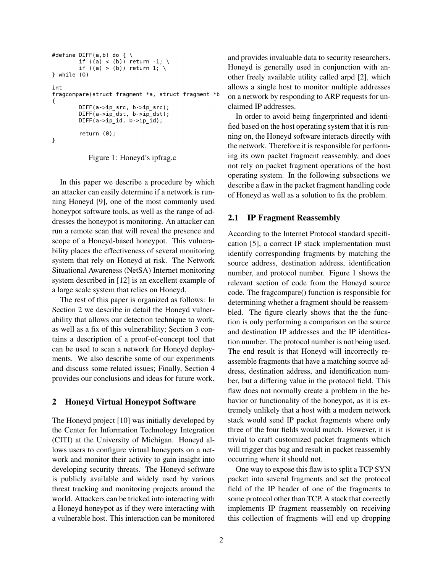```
#define DIFF(a,b) do { \
         if ((a) < (b)) return -1; \<br>if ((a) > (b)) return 1; \
} while (0)int
fragcompare(struct fragment *a, struct fragment *b
€
         DIFF(a->ip_src, b->ip_src);DIFF(a->ip_dst, b->ip_dst);DIFF(a - zip_id, b - zip_id);return (0);\mathcal{F}
```


In this paper we describe a procedure by which an attacker can easily determine if a network is running Honeyd [9], one of the most commonly used honeypot software tools, as well as the range of addresses the honeypot is monitoring. An attacker can run a remote scan that will reveal the presence and scope of a Honeyd-based honeypot. This vulnerability places the effectiveness of several monitoring system that rely on Honeyd at risk. The Network Situational Awareness (NetSA) Internet monitoring system described in [12] is an excellent example of a large scale system that relies on Honeyd.

The rest of this paper is organized as follows: In Section 2 we describe in detail the Honeyd vulnerability that allows our detection technique to work, as well as a fix of this vulnerability; Section 3 contains a description of a proof-of-concept tool that can be used to scan a network for Honeyd deployments. We also describe some of our experiments and discuss some related issues; Finally, Section 4 provides our conclusions and ideas for future work.

# 2 Honeyd Virtual Honeypot Software

The Honeyd project [10] was initially developed by the Center for Information Technology Integration (CITI) at the University of Michigan. Honeyd allows users to configure virtual honeypots on a network and monitor their activity to gain insight into developing security threats. The Honeyd software is publicly available and widely used by various threat tracking and monitoring projects around the world. Attackers can be tricked into interacting with a Honeyd honeypot as if they were interacting with a vulnerable host. This interaction can be monitored and provides invaluable data to security researchers. Honeyd is generally used in conjunction with another freely available utility called arpd [2], which allows a single host to monitor multiple addresses on a network by responding to ARP requests for unclaimed IP addresses.

In order to avoid being fingerprinted and identified based on the host operating system that it is running on, the Honeyd software interacts directly with the network. Therefore it is responsible for performing its own packet fragment reassembly, and does not rely on packet fragment operations of the host operating system. In the following subsections we describe a flaw in the packet fragment handling code of Honeyd as well as a solution to fix the problem.

## 2.1 IP Fragment Reassembly

According to the Internet Protocol standard specification [5], a correct IP stack implementation must identify corresponding fragments by matching the source address, destination address, identification number, and protocol number. Figure 1 shows the relevant section of code from the Honeyd source code. The fragcompare() function is responsible for determining whether a fragment should be reassembled. The figure clearly shows that the the function is only performing a comparison on the source and destination IP addresses and the IP identification number. The protocol number is not being used. The end result is that Honeyd will incorrectly reassemble fragments that have a matching source address, destination address, and identification number, but a differing value in the protocol field. This flaw does not normally create a problem in the behavior or functionality of the honeypot, as it is extremely unlikely that a host with a modern network stack would send IP packet fragments where only three of the four fields would match. However, it is trivial to craft customized packet fragments which will trigger this bug and result in packet reassembly occurring where it should not.

One way to expose this flaw is to split a TCP SYN packet into several fragments and set the protocol field of the IP header of one of the fragments to some protocol other than TCP. A stack that correctly implements IP fragment reassembly on receiving this collection of fragments will end up dropping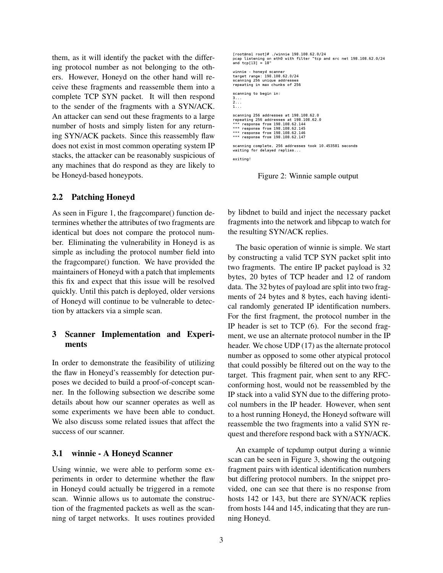them, as it will identify the packet with the differing protocol number as not belonging to the others. However, Honeyd on the other hand will receive these fragments and reassemble them into a complete TCP SYN packet. It will then respond to the sender of the fragments with a SYN/ACK. An attacker can send out these fragments to a large number of hosts and simply listen for any returning SYN/ACK packets. Since this reassembly flaw does not exist in most common operating system IP stacks, the attacker can be reasonably suspicious of any machines that do respond as they are likely to be Honeyd-based honeypots.

#### 2.2 Patching Honeyd

As seen in Figure 1, the fragcompare() function determines whether the attributes of two fragments are identical but does not compare the protocol number. Eliminating the vulnerability in Honeyd is as simple as including the protocol number field into the fragcompare() function. We have provided the maintainers of Honeyd with a patch that implements this fix and expect that this issue will be resolved quickly. Until this patch is deployed, older versions of Honeyd will continue to be vulnerable to detection by attackers via a simple scan.

# 3 Scanner Implementation and Experiments

In order to demonstrate the feasibility of utilizing the flaw in Honeyd's reassembly for detection purposes we decided to build a proof-of-concept scanner. In the following subsection we describe some details about how our scanner operates as well as some experiments we have been able to conduct. We also discuss some related issues that affect the success of our scanner.

## 3.1 winnie - A Honeyd Scanner

Using winnie, we were able to perform some experiments in order to determine whether the flaw in Honeyd could actually be triggered in a remote scan. Winnie allows us to automate the construction of the fragmented packets as well as the scanning of target networks. It uses routines provided

```
[root@ns1_root]# ./winnie 198.108.62.0/24
pcap listening on eth0 with filter "tcp and src net 198.108.62.0/24<br>and tcp[13] = 18"
winnie - honeyd scanner<br>target range: 198.108.62.0/24<br>scanning 256 unique addresses
repeating in max chunks of 256
scanning to begin in:
2...\overline{1}.
scanning 256 addresses at 198.108.62.0
scaling 256 addresses at 198.108.62.0<br>*** response from 198.108.62.144<br>*** response from 198.108.62.145
 *** response from 198.108.62.146
*** response from 198.108.62.147
scanning complete, 256 addresses took 10.453581 seconds<br>waiting for delayed replies...
exiting!
```
Figure 2: Winnie sample output

by libdnet to build and inject the necessary packet fragments into the network and libpcap to watch for the resulting SYN/ACK replies.

The basic operation of winnie is simple. We start by constructing a valid TCP SYN packet split into two fragments. The entire IP packet payload is 32 bytes, 20 bytes of TCP header and 12 of random data. The 32 bytes of payload are split into two fragments of 24 bytes and 8 bytes, each having identical randomly generated IP identification numbers. For the first fragment, the protocol number in the IP header is set to TCP (6). For the second fragment, we use an alternate protocol number in the IP header. We chose UDP (17) as the alternate protocol number as opposed to some other atypical protocol that could possibly be filtered out on the way to the target. This fragment pair, when sent to any RFCconforming host, would not be reassembled by the IP stack into a valid SYN due to the differing protocol numbers in the IP header. However, when sent to a host running Honeyd, the Honeyd software will reassemble the two fragments into a valid SYN request and therefore respond back with a SYN/ACK.

An example of tcpdump output during a winnie scan can be seen in Figure 3, showing the outgoing fragment pairs with identical identification numbers but differing protocol numbers. In the snippet provided, one can see that there is no response from hosts 142 or 143, but there are SYN/ACK replies from hosts 144 and 145, indicating that they are running Honeyd.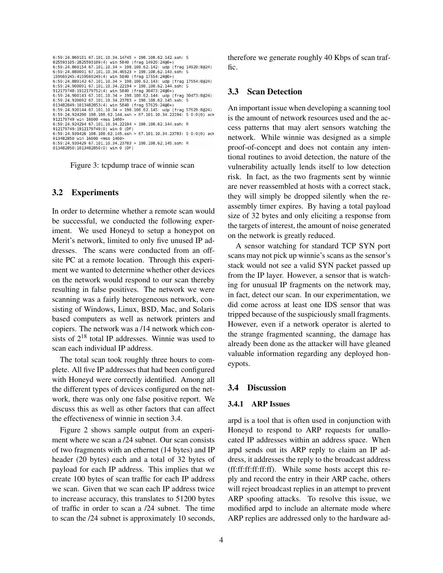```
6:59:24.860101 67.101.10.34.14745 > 198.108.62.142.ssh: S
825593105; 2825593109(4) win 5840 (frag 14920:2460+)<br>825593105: 2825593109(4) win 5840 (frag 14920:2460+)<br>6:59:24.880091 67.101.10.34 > 198.108.62.142: udp (frag 14920:8@24)<br>6:59:24.880091 67.101.10.34.46523 > 198.108.6
6:59:24.880091 67.101.10.34.46523 > 198.108.62.143.ssh: S<br>159669245:4159669249(4) win 5840 (frag 17554:24@+)<br>6:59:24.880142 67.101.10.34 > 198.108.62.143:40@+)<br>6:59:24.90091 67.101.10.34.22194 > 198.108.62.144.ssh: S<br>9121
912179749 win 16000 <mss 1460><br>6:59:24.924294 67.101.10.34.22194 > 198.108.62.144.ssh: R
 912179749:1912179749(0) win 0 (DF)
 6:59:24.939426 198.108.62.145.ssh > 67.101.10.34.23783: S 0:0(0) ack
013482850 win 16000 <mss 1460><br>6:59:24.939429 67.101.10.34.23783 > 198.108.62.145.ssh: R
013482850:1013482850(0) win 0 (DF)
```
Figure 3: tcpdump trace of winnie scan

## 3.2 Experiments

In order to determine whether a remote scan would be successful, we conducted the following experiment. We used Honeyd to setup a honeypot on Merit's network, limited to only five unused IP addresses. The scans were conducted from an offsite PC at a remote location. Through this experiment we wanted to determine whether other devices on the network would respond to our scan thereby resulting in false positives. The network we were scanning was a fairly heterogeneous network, consisting of Windows, Linux, BSD, Mac, and Solaris based computers as well as network printers and copiers. The network was a /14 network which consists of  $2^{18}$  total IP addresses. Winnie was used to scan each individual IP address.

The total scan took roughly three hours to complete. All five IP addresses that had been configured with Honeyd were correctly identified. Among all the different types of devices configured on the network, there was only one false positive report. We discuss this as well as other factors that can affect the effectiveness of winnie in section 3.4.

Figure 2 shows sample output from an experiment where we scan a /24 subnet. Our scan consists of two fragments with an ethernet (14 bytes) and IP header (20 bytes) each and a total of 32 bytes of payload for each IP address. This implies that we create 100 bytes of scan traffic for each IP address we scan. Given that we scan each IP address twice to increase accuracy, this translates to 51200 bytes of traffic in order to scan a /24 subnet. The time to scan the /24 subnet is approximately 10 seconds, therefore we generate roughly 40 Kbps of scan traffic.

### 3.3 Scan Detection

An important issue when developing a scanning tool is the amount of network resources used and the access patterns that may alert sensors watching the network. While winnie was designed as a simple proof-of-concept and does not contain any intentional routines to avoid detection, the nature of the vulnerability actually lends itself to low detection risk. In fact, as the two fragments sent by winnie are never reassembled at hosts with a correct stack, they will simply be dropped silently when the reassembly timer expires. By having a total payload size of 32 bytes and only eliciting a response from the targets of interest, the amount of noise generated on the network is greatly reduced.

A sensor watching for standard TCP SYN port scans may not pick up winnie's scans as the sensor's stack would not see a valid SYN packet passed up from the IP layer. However, a sensor that is watching for unusual IP fragments on the network may, in fact, detect our scan. In our experimentation, we did come across at least one IDS sensor that was tripped because of the suspiciously small fragments. However, even if a network operator is alerted to the strange fragmented scanning, the damage has already been done as the attacker will have gleaned valuable information regarding any deployed honeypots.

#### 3.4 Discussion

#### 3.4.1 ARP Issues

arpd is a tool that is often used in conjunction with Honeyd to respond to ARP requests for unallocated IP addresses within an address space. When arpd sends out its ARP reply to claim an IP address, it addresses the reply to the broadcast address (ff:ff:ff:ff:ff:ff). While some hosts accept this reply and record the entry in their ARP cache, others will reject broadcast replies in an attempt to prevent ARP spoofing attacks. To resolve this issue, we modified arpd to include an alternate mode where ARP replies are addressed only to the hardware ad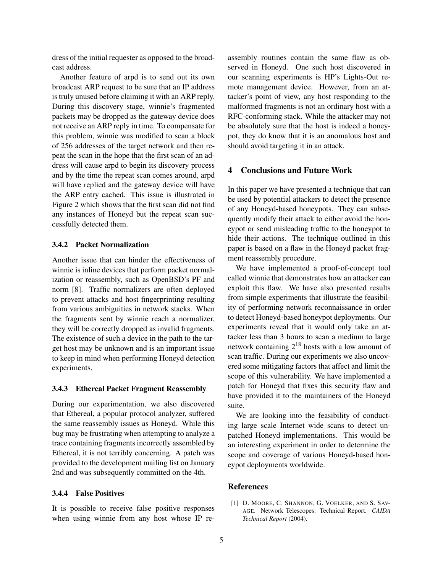dress of the initial requester as opposed to the broadcast address.

Another feature of arpd is to send out its own broadcast ARP request to be sure that an IP address is truly unused before claiming it with an ARP reply. During this discovery stage, winnie's fragmented packets may be dropped as the gateway device does not receive an ARP reply in time. To compensate for this problem, winnie was modified to scan a block of 256 addresses of the target network and then repeat the scan in the hope that the first scan of an address will cause arpd to begin its discovery process and by the time the repeat scan comes around, arpd will have replied and the gateway device will have the ARP entry cached. This issue is illustrated in Figure 2 which shows that the first scan did not find any instances of Honeyd but the repeat scan successfully detected them.

## 3.4.2 Packet Normalization

Another issue that can hinder the effectiveness of winnie is inline devices that perform packet normalization or reassembly, such as OpenBSD's PF and norm [8]. Traffic normalizers are often deployed to prevent attacks and host fingerprinting resulting from various ambiguities in network stacks. When the fragments sent by winnie reach a normalizer, they will be correctly dropped as invalid fragments. The existence of such a device in the path to the target host may be unknown and is an important issue to keep in mind when performing Honeyd detection experiments.

#### 3.4.3 Ethereal Packet Fragment Reassembly

During our experimentation, we also discovered that Ethereal, a popular protocol analyzer, suffered the same reassembly issues as Honeyd. While this bug may be frustrating when attempting to analyze a trace containing fragments incorrectly assembled by Ethereal, it is not terribly concerning. A patch was provided to the development mailing list on January 2nd and was subsequently committed on the 4th.

## 3.4.4 False Positives

It is possible to receive false positive responses when using winnie from any host whose IP reassembly routines contain the same flaw as observed in Honeyd. One such host discovered in our scanning experiments is HP's Lights-Out remote management device. However, from an attacker's point of view, any host responding to the malformed fragments is not an ordinary host with a RFC-conforming stack. While the attacker may not be absolutely sure that the host is indeed a honeypot, they do know that it is an anomalous host and should avoid targeting it in an attack.

## 4 Conclusions and Future Work

In this paper we have presented a technique that can be used by potential attackers to detect the presence of any Honeyd-based honeypots. They can subsequently modify their attack to either avoid the honeypot or send misleading traffic to the honeypot to hide their actions. The technique outlined in this paper is based on a flaw in the Honeyd packet fragment reassembly procedure.

We have implemented a proof-of-concept tool called winnie that demonstrates how an attacker can exploit this flaw. We have also presented results from simple experiments that illustrate the feasibility of performing network reconnaissance in order to detect Honeyd-based honeypot deployments. Our experiments reveal that it would only take an attacker less than 3 hours to scan a medium to large network containing 2<sup>18</sup> hosts with a low amount of scan traffic. During our experiments we also uncovered some mitigating factors that affect and limit the scope of this vulnerability. We have implemented a patch for Honeyd that fixes this security flaw and have provided it to the maintainers of the Honeyd suite.

We are looking into the feasibility of conducting large scale Internet wide scans to detect unpatched Honeyd implementations. This would be an interesting experiment in order to determine the scope and coverage of various Honeyd-based honeypot deployments worldwide.

#### References

[1] D. MOORE, C. SHANNON, G. VOELKER, AND S. SAV-AGE. Network Telescopes: Technical Report. *CAIDA Technical Report* (2004).